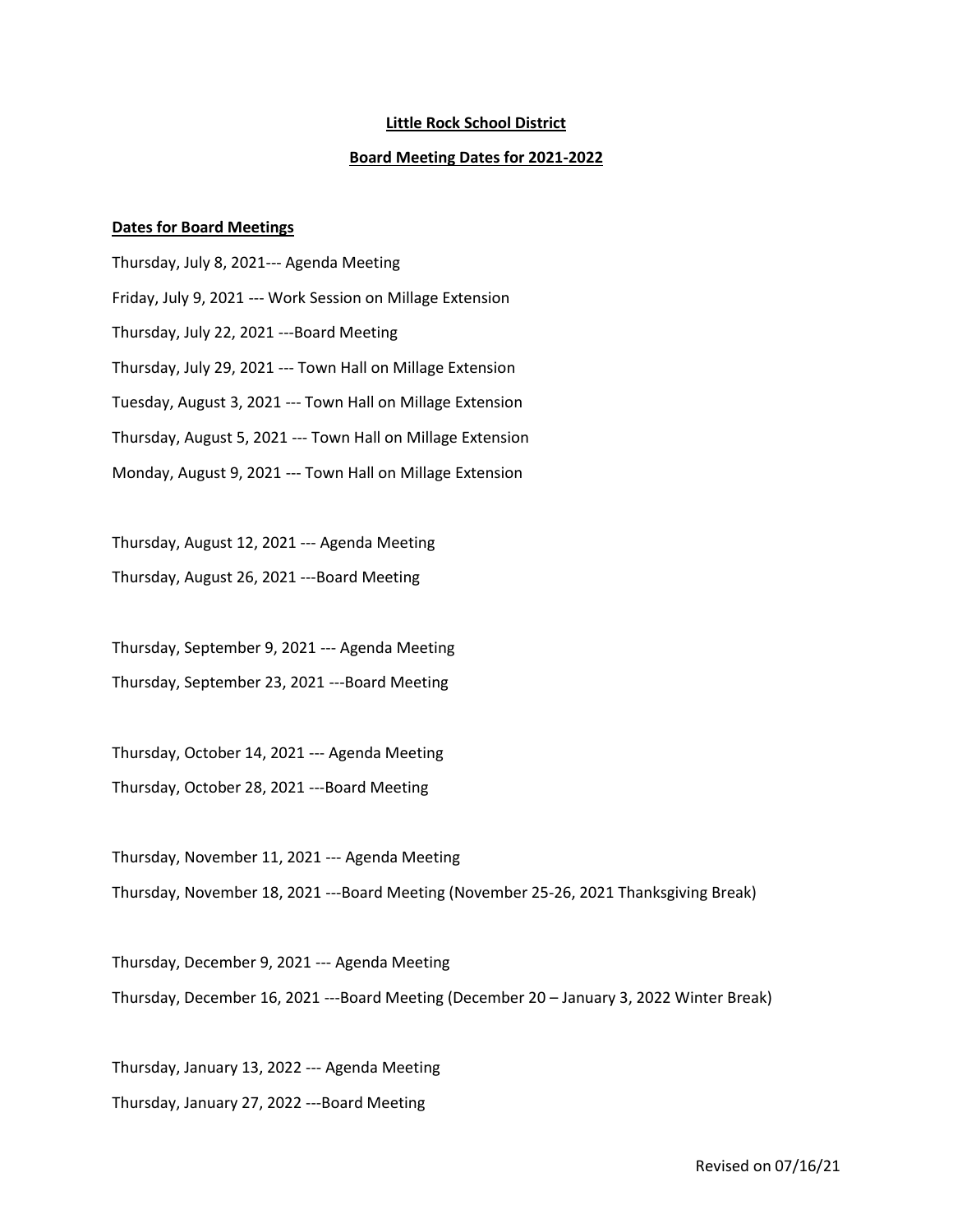## **Little Rock School District**

## **Board Meeting Dates for 2021-2022**

## **Dates for Board Meetings**

Thursday, July 8, 2021--- Agenda Meeting Friday, July 9, 2021 --- Work Session on Millage Extension Thursday, July 22, 2021 ---Board Meeting Thursday, July 29, 2021 --- Town Hall on Millage Extension Tuesday, August 3, 2021 --- Town Hall on Millage Extension Thursday, August 5, 2021 --- Town Hall on Millage Extension Monday, August 9, 2021 --- Town Hall on Millage Extension

Thursday, August 12, 2021 --- Agenda Meeting Thursday, August 26, 2021 ---Board Meeting

Thursday, September 9, 2021 --- Agenda Meeting Thursday, September 23, 2021 ---Board Meeting

Thursday, October 14, 2021 --- Agenda Meeting Thursday, October 28, 2021 ---Board Meeting

Thursday, November 11, 2021 --- Agenda Meeting Thursday, November 18, 2021 ---Board Meeting (November 25-26, 2021 Thanksgiving Break)

Thursday, December 9, 2021 --- Agenda Meeting Thursday, December 16, 2021 ---Board Meeting (December 20 – January 3, 2022 Winter Break)

Thursday, January 13, 2022 --- Agenda Meeting Thursday, January 27, 2022 ---Board Meeting